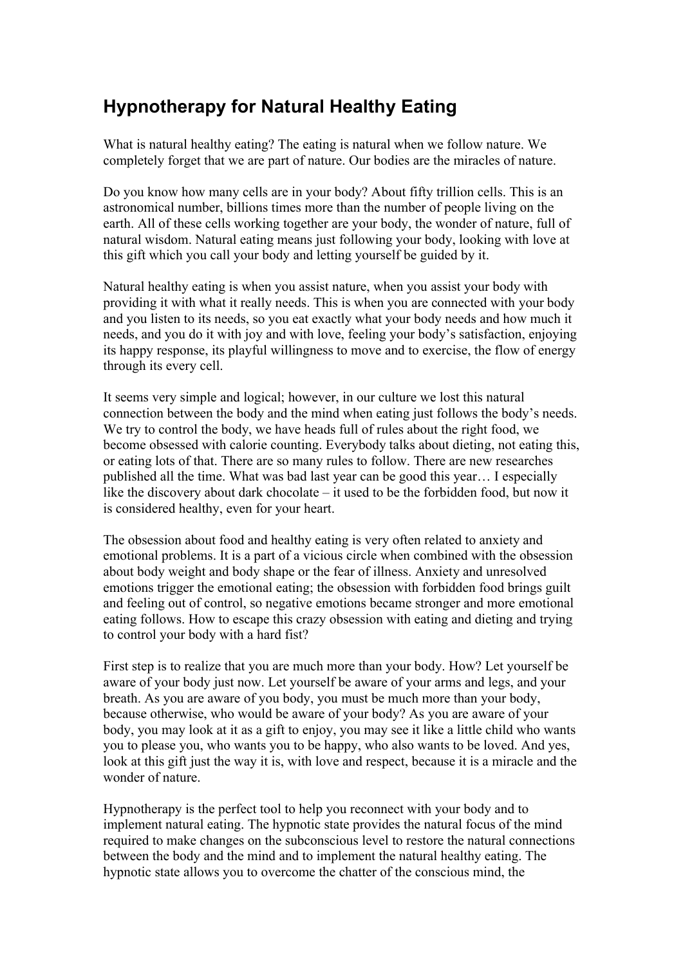## **Hypnotherapy for Natural Healthy Eating**

What is natural healthy eating? The eating is natural when we follow nature. We completely forget that we are part of nature. Our bodies are the miracles of nature.

Do you know how many cells are in your body? About fifty trillion cells. This is an astronomical number, billions times more than the number of people living on the earth. All of these cells working together are your body, the wonder of nature, full of natural wisdom. Natural eating means just following your body, looking with love at this gift which you call your body and letting yourself be guided by it.

Natural healthy eating is when you assist nature, when you assist your body with providing it with what it really needs. This is when you are connected with your body and you listen to its needs, so you eat exactly what your body needs and how much it needs, and you do it with joy and with love, feeling your body's satisfaction, enjoying its happy response, its playful willingness to move and to exercise, the flow of energy through its every cell.

It seems very simple and logical; however, in our culture we lost this natural connection between the body and the mind when eating just follows the body's needs. We try to control the body, we have heads full of rules about the right food, we become obsessed with calorie counting. Everybody talks about dieting, not eating this, or eating lots of that. There are so many rules to follow. There are new researches published all the time. What was bad last year can be good this year… I especially like the discovery about dark chocolate – it used to be the forbidden food, but now it is considered healthy, even for your heart.

The obsession about food and healthy eating is very often related to anxiety and emotional problems. It is a part of a vicious circle when combined with the obsession about body weight and body shape or the fear of illness. Anxiety and unresolved emotions trigger the emotional eating; the obsession with forbidden food brings guilt and feeling out of control, so negative emotions became stronger and more emotional eating follows. How to escape this crazy obsession with eating and dieting and trying to control your body with a hard fist?

First step is to realize that you are much more than your body. How? Let yourself be aware of your body just now. Let yourself be aware of your arms and legs, and your breath. As you are aware of you body, you must be much more than your body, because otherwise, who would be aware of your body? As you are aware of your body, you may look at it as a gift to enjoy, you may see it like a little child who wants you to please you, who wants you to be happy, who also wants to be loved. And yes, look at this gift just the way it is, with love and respect, because it is a miracle and the wonder of nature.

Hypnotherapy is the perfect tool to help you reconnect with your body and to implement natural eating. The hypnotic state provides the natural focus of the mind required to make changes on the subconscious level to restore the natural connections between the body and the mind and to implement the natural healthy eating. The hypnotic state allows you to overcome the chatter of the conscious mind, the